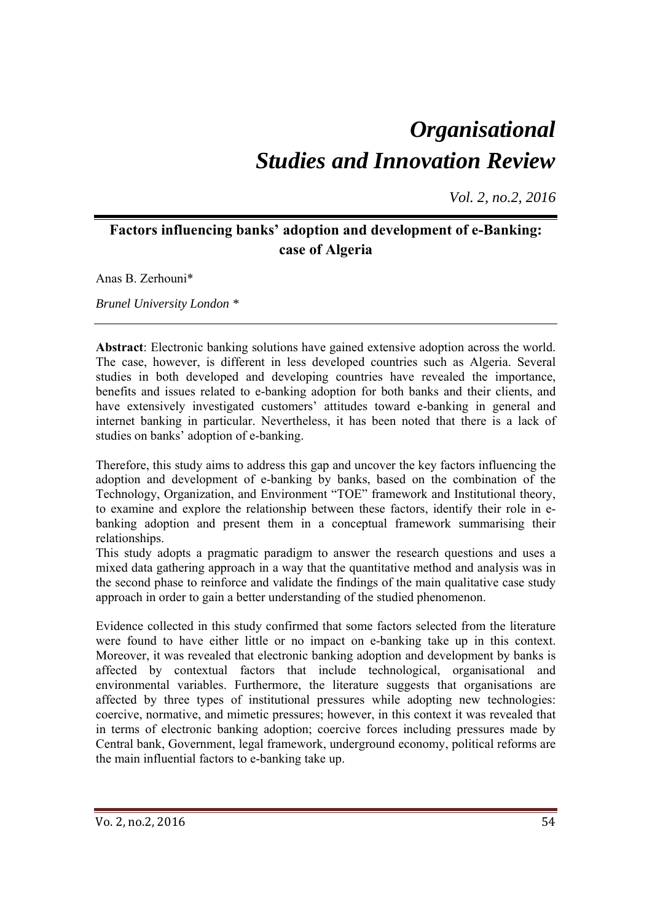# *Organisational Studies and Innovation Review*

*Vol. 2, no.2, 2016*

# **Factors influencing banks' adoption and development of e-Banking: case of Algeria**

Anas B. Zerhouni\*

*Brunel University London \** 

**Abstract**: Electronic banking solutions have gained extensive adoption across the world. The case, however, is different in less developed countries such as Algeria. Several studies in both developed and developing countries have revealed the importance, benefits and issues related to e-banking adoption for both banks and their clients, and have extensively investigated customers' attitudes toward e-banking in general and internet banking in particular. Nevertheless, it has been noted that there is a lack of studies on banks' adoption of e-banking.

Therefore, this study aims to address this gap and uncover the key factors influencing the adoption and development of e-banking by banks, based on the combination of the Technology, Organization, and Environment "TOE" framework and Institutional theory, to examine and explore the relationship between these factors, identify their role in ebanking adoption and present them in a conceptual framework summarising their relationships.

This study adopts a pragmatic paradigm to answer the research questions and uses a mixed data gathering approach in a way that the quantitative method and analysis was in the second phase to reinforce and validate the findings of the main qualitative case study approach in order to gain a better understanding of the studied phenomenon.

Evidence collected in this study confirmed that some factors selected from the literature were found to have either little or no impact on e-banking take up in this context. Moreover, it was revealed that electronic banking adoption and development by banks is affected by contextual factors that include technological, organisational and environmental variables. Furthermore, the literature suggests that organisations are affected by three types of institutional pressures while adopting new technologies: coercive, normative, and mimetic pressures; however, in this context it was revealed that in terms of electronic banking adoption; coercive forces including pressures made by Central bank, Government, legal framework, underground economy, political reforms are the main influential factors to e-banking take up.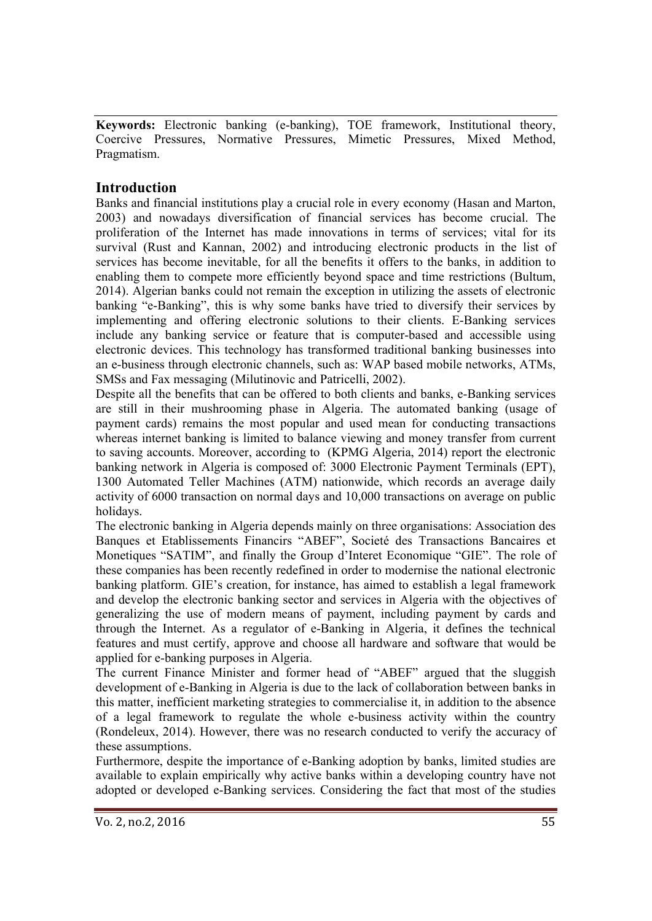**Keywords:** Electronic banking (e-banking), TOE framework, Institutional theory, Coercive Pressures, Normative Pressures, Mimetic Pressures, Mixed Method, Pragmatism.

# **Introduction**

Banks and financial institutions play a crucial role in every economy (Hasan and Marton, 2003) and nowadays diversification of financial services has become crucial. The proliferation of the Internet has made innovations in terms of services; vital for its survival (Rust and Kannan, 2002) and introducing electronic products in the list of services has become inevitable, for all the benefits it offers to the banks, in addition to enabling them to compete more efficiently beyond space and time restrictions (Bultum, 2014). Algerian banks could not remain the exception in utilizing the assets of electronic banking "e-Banking", this is why some banks have tried to diversify their services by implementing and offering electronic solutions to their clients. E-Banking services include any banking service or feature that is computer-based and accessible using electronic devices. This technology has transformed traditional banking businesses into an e-business through electronic channels, such as: WAP based mobile networks, ATMs, SMSs and Fax messaging (Milutinovic and Patricelli, 2002).

Despite all the benefits that can be offered to both clients and banks, e-Banking services are still in their mushrooming phase in Algeria. The automated banking (usage of payment cards) remains the most popular and used mean for conducting transactions whereas internet banking is limited to balance viewing and money transfer from current to saving accounts. Moreover, according to (KPMG Algeria, 2014) report the electronic banking network in Algeria is composed of: 3000 Electronic Payment Terminals (EPT), 1300 Automated Teller Machines (ATM) nationwide, which records an average daily activity of 6000 transaction on normal days and 10,000 transactions on average on public holidays.

The electronic banking in Algeria depends mainly on three organisations: Association des Banques et Etablissements Financirs "ABEF", Societé des Transactions Bancaires et Monetiques "SATIM", and finally the Group d'Interet Economique "GIE". The role of these companies has been recently redefined in order to modernise the national electronic banking platform. GIE's creation, for instance, has aimed to establish a legal framework and develop the electronic banking sector and services in Algeria with the objectives of generalizing the use of modern means of payment, including payment by cards and through the Internet. As a regulator of e-Banking in Algeria, it defines the technical features and must certify, approve and choose all hardware and software that would be applied for e-banking purposes in Algeria.

The current Finance Minister and former head of "ABEF" argued that the sluggish development of e-Banking in Algeria is due to the lack of collaboration between banks in this matter, inefficient marketing strategies to commercialise it, in addition to the absence of a legal framework to regulate the whole e-business activity within the country (Rondeleux, 2014). However, there was no research conducted to verify the accuracy of these assumptions.

Furthermore, despite the importance of e-Banking adoption by banks, limited studies are available to explain empirically why active banks within a developing country have not adopted or developed e-Banking services. Considering the fact that most of the studies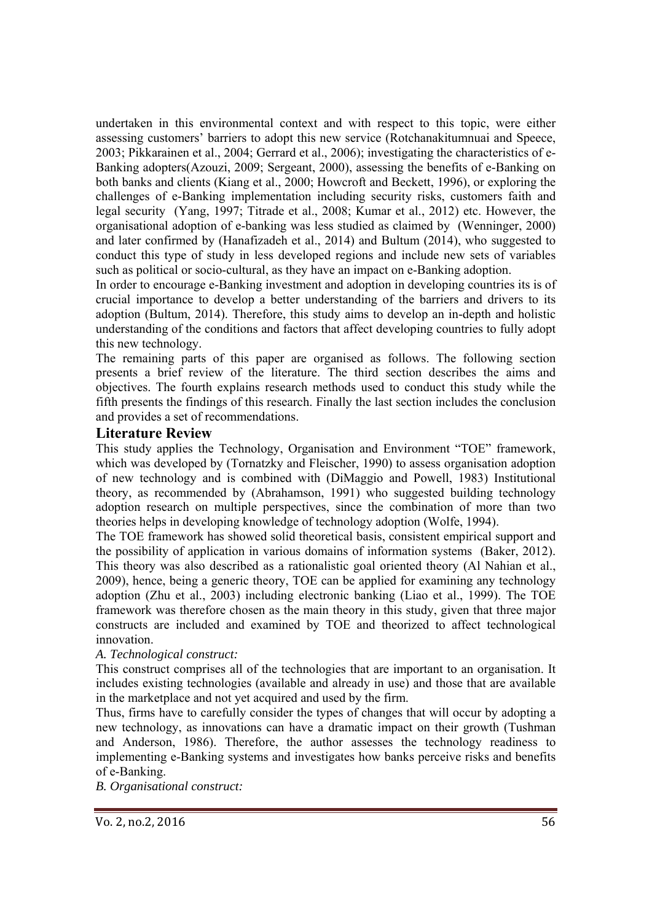undertaken in this environmental context and with respect to this topic, were either assessing customers' barriers to adopt this new service (Rotchanakitumnuai and Speece, 2003; Pikkarainen et al., 2004; Gerrard et al., 2006); investigating the characteristics of e-Banking adopters(Azouzi, 2009; Sergeant, 2000), assessing the benefits of e-Banking on both banks and clients (Kiang et al., 2000; Howcroft and Beckett, 1996), or exploring the challenges of e-Banking implementation including security risks, customers faith and legal security (Yang, 1997; Titrade et al., 2008; Kumar et al., 2012) etc. However, the organisational adoption of e-banking was less studied as claimed by (Wenninger, 2000) and later confirmed by (Hanafizadeh et al., 2014) and Bultum (2014), who suggested to conduct this type of study in less developed regions and include new sets of variables such as political or socio-cultural, as they have an impact on e-Banking adoption.

In order to encourage e-Banking investment and adoption in developing countries its is of crucial importance to develop a better understanding of the barriers and drivers to its adoption (Bultum, 2014). Therefore, this study aims to develop an in-depth and holistic understanding of the conditions and factors that affect developing countries to fully adopt this new technology.

The remaining parts of this paper are organised as follows. The following section presents a brief review of the literature. The third section describes the aims and objectives. The fourth explains research methods used to conduct this study while the fifth presents the findings of this research. Finally the last section includes the conclusion and provides a set of recommendations.

## **Literature Review**

This study applies the Technology, Organisation and Environment "TOE" framework, which was developed by (Tornatzky and Fleischer, 1990) to assess organisation adoption of new technology and is combined with (DiMaggio and Powell, 1983) Institutional theory, as recommended by (Abrahamson, 1991) who suggested building technology adoption research on multiple perspectives, since the combination of more than two theories helps in developing knowledge of technology adoption (Wolfe, 1994).

The TOE framework has showed solid theoretical basis, consistent empirical support and the possibility of application in various domains of information systems (Baker, 2012). This theory was also described as a rationalistic goal oriented theory (Al Nahian et al., 2009), hence, being a generic theory, TOE can be applied for examining any technology adoption (Zhu et al., 2003) including electronic banking (Liao et al., 1999). The TOE framework was therefore chosen as the main theory in this study, given that three major constructs are included and examined by TOE and theorized to affect technological innovation.

#### *A. Technological construct:*

This construct comprises all of the technologies that are important to an organisation. It includes existing technologies (available and already in use) and those that are available in the marketplace and not yet acquired and used by the firm.

Thus, firms have to carefully consider the types of changes that will occur by adopting a new technology, as innovations can have a dramatic impact on their growth (Tushman and Anderson, 1986). Therefore, the author assesses the technology readiness to implementing e-Banking systems and investigates how banks perceive risks and benefits of e-Banking.

*B. Organisational construct:*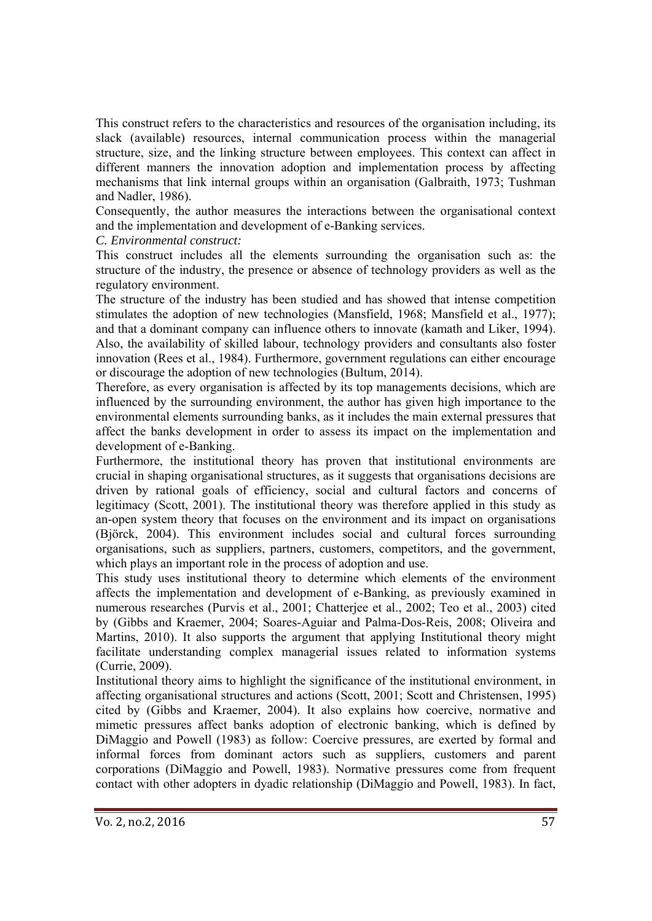This construct refers to the characteristics and resources of the organisation including, its slack (available) resources, internal communication process within the managerial structure, size, and the linking structure between employees. This context can affect in different manners the innovation adoption and implementation process by affecting mechanisms that link internal groups within an organisation (Galbraith, 1973; Tushman and Nadler, 1986).

Consequently, the author measures the interactions between the organisational context and the implementation and development of e-Banking services.

*C. Environmental construct:* 

This construct includes all the elements surrounding the organisation such as: the structure of the industry, the presence or absence of technology providers as well as the regulatory environment.

The structure of the industry has been studied and has showed that intense competition stimulates the adoption of new technologies (Mansfield, 1968; Mansfield et al., 1977); and that a dominant company can influence others to innovate (kamath and Liker, 1994). Also, the availability of skilled labour, technology providers and consultants also foster innovation (Rees et al., 1984). Furthermore, government regulations can either encourage or discourage the adoption of new technologies (Bultum, 2014).

Therefore, as every organisation is affected by its top managements decisions, which are influenced by the surrounding environment, the author has given high importance to the environmental elements surrounding banks, as it includes the main external pressures that affect the banks development in order to assess its impact on the implementation and development of e-Banking.

Furthermore, the institutional theory has proven that institutional environments are crucial in shaping organisational structures, as it suggests that organisations decisions are driven by rational goals of efficiency, social and cultural factors and concerns of legitimacy (Scott, 2001). The institutional theory was therefore applied in this study as an-open system theory that focuses on the environment and its impact on organisations (Björck, 2004). This environment includes social and cultural forces surrounding organisations, such as suppliers, partners, customers, competitors, and the government, which plays an important role in the process of adoption and use.

This study uses institutional theory to determine which elements of the environment affects the implementation and development of e-Banking, as previously examined in numerous researches (Purvis et al., 2001; Chatterjee et al., 2002; Teo et al., 2003) cited by (Gibbs and Kraemer, 2004; Soares-Aguiar and Palma-Dos-Reis, 2008; Oliveira and Martins, 2010). It also supports the argument that applying Institutional theory might facilitate understanding complex managerial issues related to information systems (Currie, 2009).

Institutional theory aims to highlight the significance of the institutional environment, in affecting organisational structures and actions (Scott, 2001; Scott and Christensen, 1995) cited by (Gibbs and Kraemer, 2004). It also explains how coercive, normative and mimetic pressures affect banks adoption of electronic banking, which is defined by DiMaggio and Powell (1983) as follow: Coercive pressures, are exerted by formal and informal forces from dominant actors such as suppliers, customers and parent corporations (DiMaggio and Powell, 1983). Normative pressures come from frequent contact with other adopters in dyadic relationship (DiMaggio and Powell, 1983). In fact,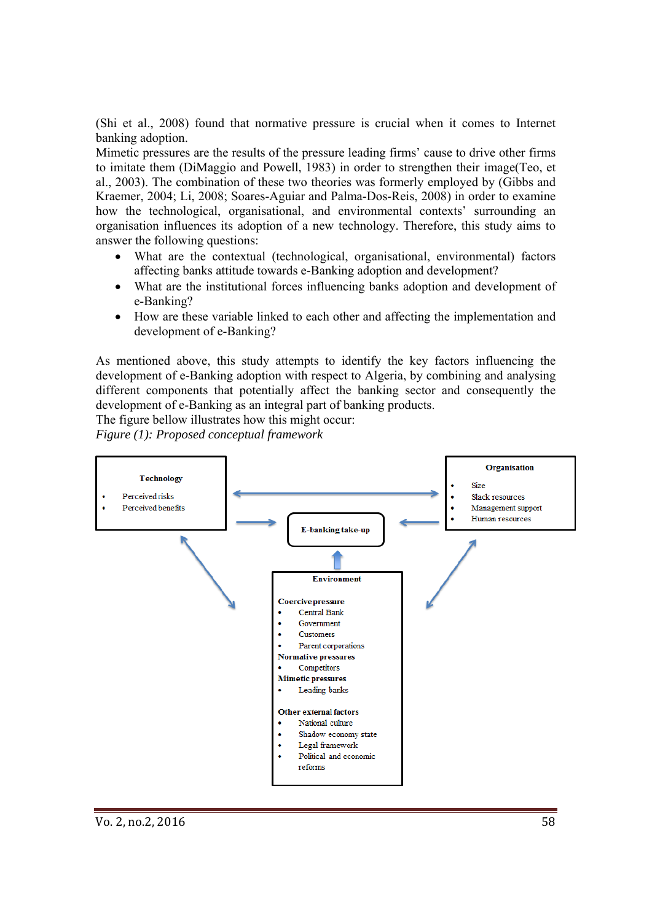(Shi et al., 2008) found that normative pressure is crucial when it comes to Internet banking adoption.

Mimetic pressures are the results of the pressure leading firms' cause to drive other firms to imitate them (DiMaggio and Powell, 1983) in order to strengthen their image(Teo, et al., 2003). The combination of these two theories was formerly employed by (Gibbs and Kraemer, 2004; Li, 2008; Soares-Aguiar and Palma-Dos-Reis, 2008) in order to examine how the technological, organisational, and environmental contexts' surrounding an organisation influences its adoption of a new technology. Therefore, this study aims to answer the following questions:

- What are the contextual (technological, organisational, environmental) factors affecting banks attitude towards e-Banking adoption and development?
- What are the institutional forces influencing banks adoption and development of e-Banking?
- How are these variable linked to each other and affecting the implementation and development of e-Banking?

As mentioned above, this study attempts to identify the key factors influencing the development of e-Banking adoption with respect to Algeria, by combining and analysing different components that potentially affect the banking sector and consequently the development of e-Banking as an integral part of banking products.

The figure bellow illustrates how this might occur:

*Figure (1): Proposed conceptual framework* 

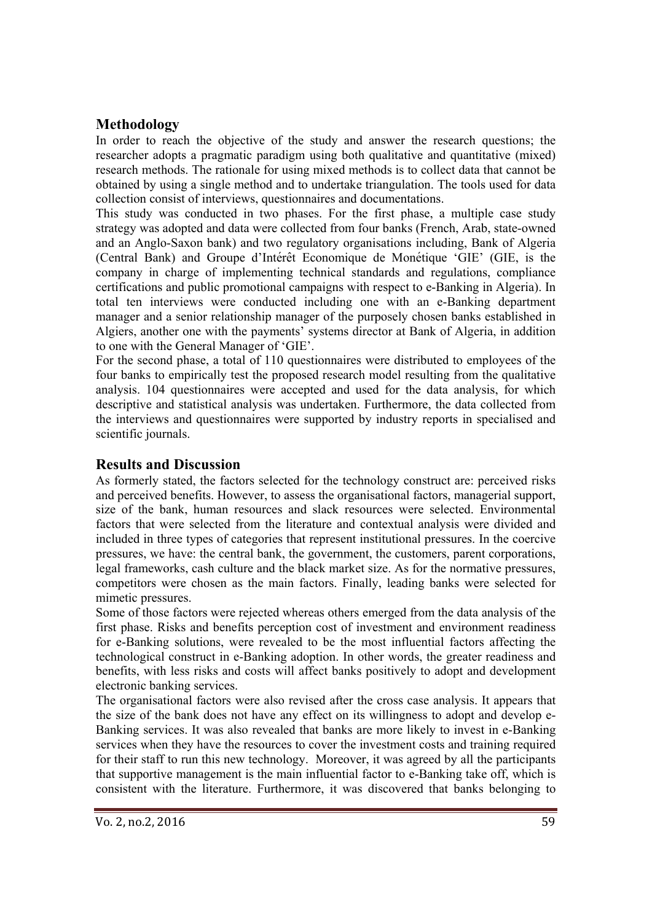# **Methodology**

In order to reach the objective of the study and answer the research questions; the researcher adopts a pragmatic paradigm using both qualitative and quantitative (mixed) research methods. The rationale for using mixed methods is to collect data that cannot be obtained by using a single method and to undertake triangulation. The tools used for data collection consist of interviews, questionnaires and documentations.

This study was conducted in two phases. For the first phase, a multiple case study strategy was adopted and data were collected from four banks (French, Arab, state-owned and an Anglo-Saxon bank) and two regulatory organisations including, Bank of Algeria (Central Bank) and Groupe d'Inté rêt Economique de Moné tique 'GIE' (GIE, is the company in charge of implementing technical standards and regulations, compliance certifications and public promotional campaigns with respect to e-Banking in Algeria). In total ten interviews were conducted including one with an e-Banking department manager and a senior relationship manager of the purposely chosen banks established in Algiers, another one with the payments' systems director at Bank of Algeria, in addition to one with the General Manager of 'GIE'.

For the second phase, a total of 110 questionnaires were distributed to employees of the four banks to empirically test the proposed research model resulting from the qualitative analysis. 104 questionnaires were accepted and used for the data analysis, for which descriptive and statistical analysis was undertaken. Furthermore, the data collected from the interviews and questionnaires were supported by industry reports in specialised and scientific journals.

#### **Results and Discussion**

As formerly stated, the factors selected for the technology construct are: perceived risks and perceived benefits. However, to assess the organisational factors, managerial support, size of the bank, human resources and slack resources were selected. Environmental factors that were selected from the literature and contextual analysis were divided and included in three types of categories that represent institutional pressures. In the coercive pressures, we have: the central bank, the government, the customers, parent corporations, legal frameworks, cash culture and the black market size. As for the normative pressures, competitors were chosen as the main factors. Finally, leading banks were selected for mimetic pressures.

Some of those factors were rejected whereas others emerged from the data analysis of the first phase. Risks and benefits perception cost of investment and environment readiness for e-Banking solutions, were revealed to be the most influential factors affecting the technological construct in e-Banking adoption. In other words, the greater readiness and benefits, with less risks and costs will affect banks positively to adopt and development electronic banking services.

The organisational factors were also revised after the cross case analysis. It appears that the size of the bank does not have any effect on its willingness to adopt and develop e-Banking services. It was also revealed that banks are more likely to invest in e-Banking services when they have the resources to cover the investment costs and training required for their staff to run this new technology. Moreover, it was agreed by all the participants that supportive management is the main influential factor to e-Banking take off, which is consistent with the literature. Furthermore, it was discovered that banks belonging to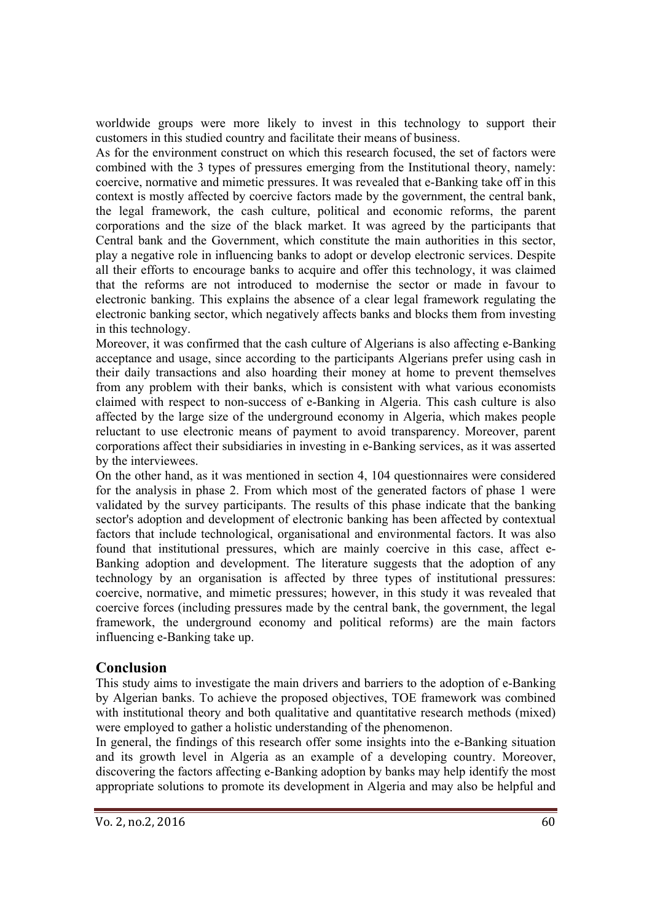worldwide groups were more likely to invest in this technology to support their customers in this studied country and facilitate their means of business.

As for the environment construct on which this research focused, the set of factors were combined with the 3 types of pressures emerging from the Institutional theory, namely: coercive, normative and mimetic pressures. It was revealed that e-Banking take off in this context is mostly affected by coercive factors made by the government, the central bank, the legal framework, the cash culture, political and economic reforms, the parent corporations and the size of the black market. It was agreed by the participants that Central bank and the Government, which constitute the main authorities in this sector, play a negative role in influencing banks to adopt or develop electronic services. Despite all their efforts to encourage banks to acquire and offer this technology, it was claimed that the reforms are not introduced to modernise the sector or made in favour to electronic banking. This explains the absence of a clear legal framework regulating the electronic banking sector, which negatively affects banks and blocks them from investing in this technology.

Moreover, it was confirmed that the cash culture of Algerians is also affecting e-Banking acceptance and usage, since according to the participants Algerians prefer using cash in their daily transactions and also hoarding their money at home to prevent themselves from any problem with their banks, which is consistent with what various economists claimed with respect to non-success of e-Banking in Algeria. This cash culture is also affected by the large size of the underground economy in Algeria, which makes people reluctant to use electronic means of payment to avoid transparency. Moreover, parent corporations affect their subsidiaries in investing in e-Banking services, as it was asserted by the interviewees.

On the other hand, as it was mentioned in section 4, 104 questionnaires were considered for the analysis in phase 2. From which most of the generated factors of phase 1 were validated by the survey participants. The results of this phase indicate that the banking sector's adoption and development of electronic banking has been affected by contextual factors that include technological, organisational and environmental factors. It was also found that institutional pressures, which are mainly coercive in this case, affect e-Banking adoption and development. The literature suggests that the adoption of any technology by an organisation is affected by three types of institutional pressures: coercive, normative, and mimetic pressures; however, in this study it was revealed that coercive forces (including pressures made by the central bank, the government, the legal framework, the underground economy and political reforms) are the main factors influencing e-Banking take up.

# **Conclusion**

This study aims to investigate the main drivers and barriers to the adoption of e-Banking by Algerian banks. To achieve the proposed objectives, TOE framework was combined with institutional theory and both qualitative and quantitative research methods (mixed) were employed to gather a holistic understanding of the phenomenon.

In general, the findings of this research offer some insights into the e-Banking situation and its growth level in Algeria as an example of a developing country. Moreover, discovering the factors affecting e-Banking adoption by banks may help identify the most appropriate solutions to promote its development in Algeria and may also be helpful and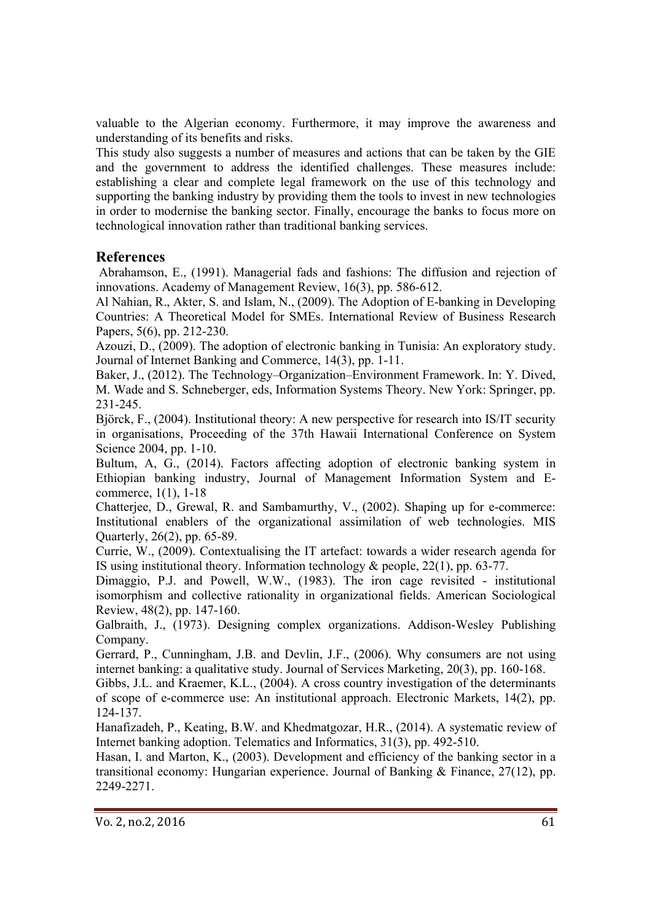valuable to the Algerian economy. Furthermore, it may improve the awareness and understanding of its benefits and risks.

This study also suggests a number of measures and actions that can be taken by the GIE and the government to address the identified challenges. These measures include: establishing a clear and complete legal framework on the use of this technology and supporting the banking industry by providing them the tools to invest in new technologies in order to modernise the banking sector. Finally, encourage the banks to focus more on technological innovation rather than traditional banking services.

## **References**

 Abrahamson, E., (1991). Managerial fads and fashions: The diffusion and rejection of innovations. Academy of Management Review, 16(3), pp. 586-612.

Al Nahian, R., Akter, S. and Islam, N., (2009). The Adoption of E-banking in Developing Countries: A Theoretical Model for SMEs. International Review of Business Research Papers, 5(6), pp. 212-230.

Azouzi, D., (2009). The adoption of electronic banking in Tunisia: An exploratory study. Journal of Internet Banking and Commerce, 14(3), pp. 1-11.

Baker, J., (2012). The Technology–Organization–Environment Framework. In: Y. Dived, M. Wade and S. Schneberger, eds, Information Systems Theory. New York: Springer, pp. 231-245.

Björck, F., (2004). Institutional theory: A new perspective for research into IS/IT security in organisations, Proceeding of the 37th Hawaii International Conference on System Science 2004, pp. 1-10.

Bultum, A, G., (2014). Factors affecting adoption of electronic banking system in Ethiopian banking industry, Journal of Management Information System and Ecommerce, 1(1), 1-18

Chatterjee, D., Grewal, R. and Sambamurthy, V., (2002). Shaping up for e-commerce: Institutional enablers of the organizational assimilation of web technologies. MIS Quarterly, 26(2), pp. 65-89.

Currie, W., (2009). Contextualising the IT artefact: towards a wider research agenda for IS using institutional theory. Information technology & people, 22(1), pp. 63-77.

Dimaggio, P.J. and Powell, W.W., (1983). The iron cage revisited - institutional isomorphism and collective rationality in organizational fields. American Sociological Review, 48(2), pp. 147-160.

Galbraith, J., (1973). Designing complex organizations. Addison-Wesley Publishing Company.

Gerrard, P., Cunningham, J.B. and Devlin, J.F., (2006). Why consumers are not using internet banking: a qualitative study. Journal of Services Marketing, 20(3), pp. 160-168.

Gibbs, J.L. and Kraemer, K.L., (2004). A cross country investigation of the determinants of scope of e-commerce use: An institutional approach. Electronic Markets, 14(2), pp. 124-137.

Hanafizadeh, P., Keating, B.W. and Khedmatgozar, H.R., (2014). A systematic review of Internet banking adoption. Telematics and Informatics, 31(3), pp. 492-510.

Hasan, I. and Marton, K., (2003). Development and efficiency of the banking sector in a transitional economy: Hungarian experience. Journal of Banking & Finance, 27(12), pp. 2249-2271.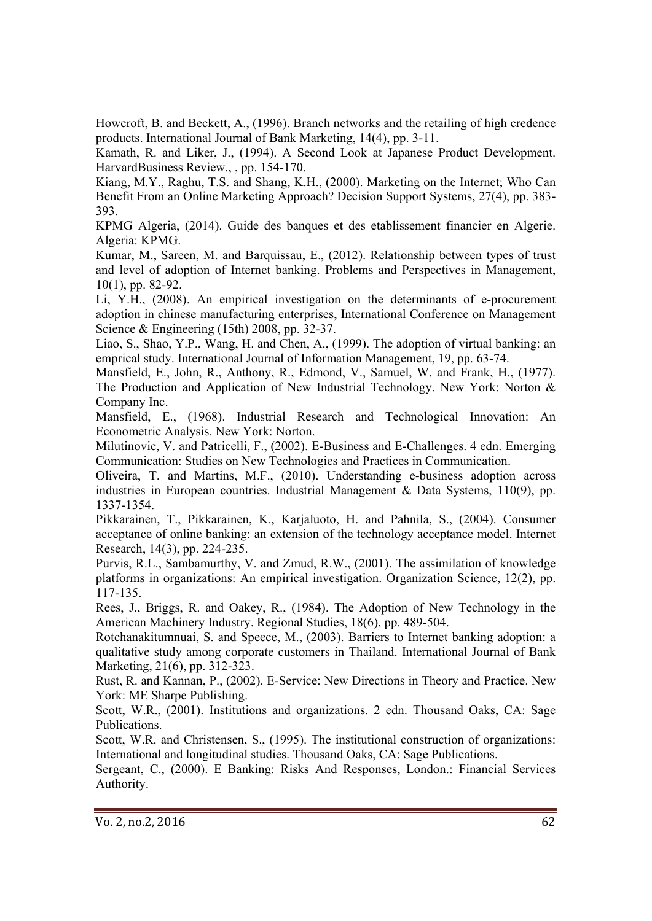Howcroft, B. and Beckett, A., (1996). Branch networks and the retailing of high credence products. International Journal of Bank Marketing, 14(4), pp. 3-11.

Kamath, R. and Liker, J., (1994). A Second Look at Japanese Product Development. HarvardBusiness Review., , pp. 154-170.

Kiang, M.Y., Raghu, T.S. and Shang, K.H., (2000). Marketing on the Internet; Who Can Benefit From an Online Marketing Approach? Decision Support Systems, 27(4), pp. 383- 393.

KPMG Algeria, (2014). Guide des banques et des etablissement financier en Algerie. Algeria: KPMG.

Kumar, M., Sareen, M. and Barquissau, E., (2012). Relationship between types of trust and level of adoption of Internet banking. Problems and Perspectives in Management, 10(1), pp. 82-92.

Li, Y.H., (2008). An empirical investigation on the determinants of e-procurement adoption in chinese manufacturing enterprises, International Conference on Management Science & Engineering (15th) 2008, pp. 32-37.

Liao, S., Shao, Y.P., Wang, H. and Chen, A., (1999). The adoption of virtual banking: an emprical study. International Journal of Information Management, 19, pp. 63-74.

Mansfield, E., John, R., Anthony, R., Edmond, V., Samuel, W. and Frank, H., (1977). The Production and Application of New Industrial Technology. New York: Norton & Company Inc.

Mansfield, E., (1968). Industrial Research and Technological Innovation: An Econometric Analysis. New York: Norton.

Milutinovic, V. and Patricelli, F., (2002). E-Business and E-Challenges. 4 edn. Emerging Communication: Studies on New Technologies and Practices in Communication.

Oliveira, T. and Martins, M.F., (2010). Understanding e-business adoption across industries in European countries. Industrial Management & Data Systems, 110(9), pp. 1337-1354.

Pikkarainen, T., Pikkarainen, K., Karjaluoto, H. and Pahnila, S., (2004). Consumer acceptance of online banking: an extension of the technology acceptance model. Internet Research, 14(3), pp. 224-235.

Purvis, R.L., Sambamurthy, V. and Zmud, R.W., (2001). The assimilation of knowledge platforms in organizations: An empirical investigation. Organization Science, 12(2), pp. 117-135.

Rees, J., Briggs, R. and Oakey, R., (1984). The Adoption of New Technology in the American Machinery Industry. Regional Studies, 18(6), pp. 489-504.

Rotchanakitumnuai, S. and Speece, M., (2003). Barriers to Internet banking adoption: a qualitative study among corporate customers in Thailand. International Journal of Bank Marketing, 21(6), pp. 312-323.

Rust, R. and Kannan, P., (2002). E-Service: New Directions in Theory and Practice. New York: ME Sharpe Publishing.

Scott, W.R., (2001). Institutions and organizations. 2 edn. Thousand Oaks, CA: Sage Publications.

Scott, W.R. and Christensen, S., (1995). The institutional construction of organizations: International and longitudinal studies. Thousand Oaks, CA: Sage Publications.

Sergeant, C., (2000). E Banking: Risks And Responses, London.: Financial Services Authority.